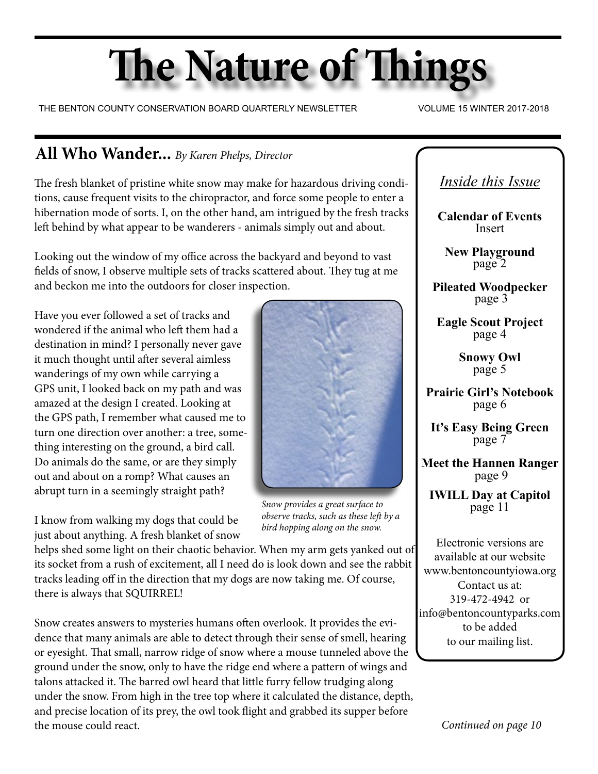# **The Nature of Things**

THE BENTON COUNTY CONSERVATION BOARD QUARTERLY NEWSLETTER VOLUME 15 WINTER 2017-2018

# **All Who Wander...** *By Karen Phelps, Director*

The fresh blanket of pristine white snow may make for hazardous driving conditions, cause frequent visits to the chiropractor, and force some people to enter a hibernation mode of sorts. I, on the other hand, am intrigued by the fresh tracks left behind by what appear to be wanderers - animals simply out and about.

Looking out the window of my office across the backyard and beyond to vast fields of snow, I observe multiple sets of tracks scattered about. They tug at me and beckon me into the outdoors for closer inspection.

Have you ever followed a set of tracks and wondered if the animal who left them had a destination in mind? I personally never gave it much thought until after several aimless wanderings of my own while carrying a GPS unit, I looked back on my path and was amazed at the design I created. Looking at the GPS path, I remember what caused me to turn one direction over another: a tree, something interesting on the ground, a bird call. Do animals do the same, or are they simply out and about on a romp? What causes an abrupt turn in a seemingly straight path?

I know from walking my dogs that could be just about anything. A fresh blanket of snow



*Snow provides a great surface to observe tracks, such as these left by a bird hopping along on the snow.*

helps shed some light on their chaotic behavior. When my arm gets yanked out of its socket from a rush of excitement, all I need do is look down and see the rabbit tracks leading off in the direction that my dogs are now taking me. Of course, there is always that SQUIRREL!

Snow creates answers to mysteries humans often overlook. It provides the evidence that many animals are able to detect through their sense of smell, hearing or eyesight. That small, narrow ridge of snow where a mouse tunneled above the ground under the snow, only to have the ridge end where a pattern of wings and talons attacked it. The barred owl heard that little furry fellow trudging along under the snow. From high in the tree top where it calculated the distance, depth, and precise location of its prey, the owl took flight and grabbed its supper before the mouse could react.

*Inside this Issue*

**Calendar of Events** Insert

**New Playground** page 2

**Pileated Woodpecker** page 3

**Eagle Scout Project** page 4

> **Snowy Owl** page 5

**Prairie Girl's Notebook** page 6

**It's Easy Being Green** page 7

**Meet the Hannen Ranger** page 9

**IWILL Day at Capitol** page 11

Electronic versions are available at our website www.bentoncountyiowa.org Contact us at: 319-472-4942 or info@bentoncountyparks.com to be added to our mailing list.

*Continued on page 10*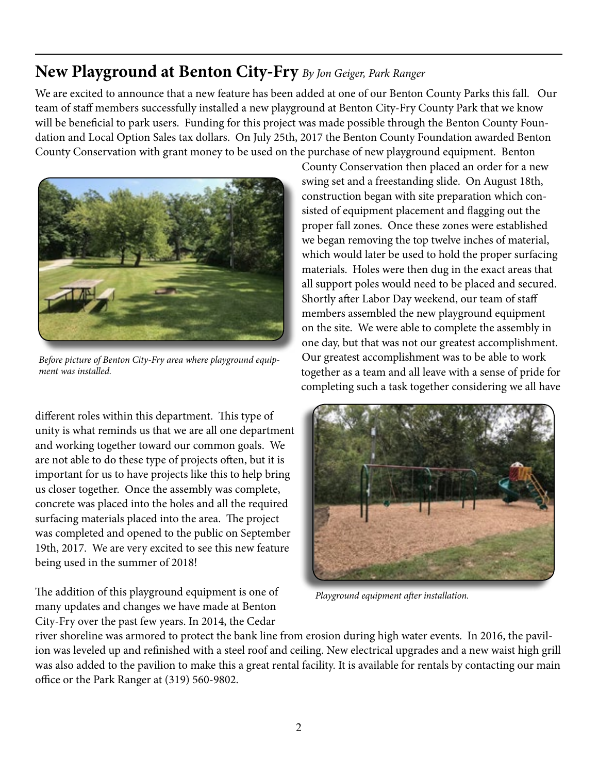# **New Playground at Benton City-Fry** *By Jon Geiger, Park Ranger*

We are excited to announce that a new feature has been added at one of our Benton County Parks this fall. Our team of staff members successfully installed a new playground at Benton City-Fry County Park that we know will be beneficial to park users. Funding for this project was made possible through the Benton County Foundation and Local Option Sales tax dollars. On July 25th, 2017 the Benton County Foundation awarded Benton County Conservation with grant money to be used on the purchase of new playground equipment. Benton



*Before picture of Benton City-Fry area where playground equipment was installed.*

different roles within this department. This type of unity is what reminds us that we are all one department and working together toward our common goals. We are not able to do these type of projects often, but it is important for us to have projects like this to help bring us closer together. Once the assembly was complete, concrete was placed into the holes and all the required surfacing materials placed into the area. The project was completed and opened to the public on September 19th, 2017. We are very excited to see this new feature being used in the summer of 2018!

The addition of this playground equipment is one of many updates and changes we have made at Benton City-Fry over the past few years. In 2014, the Cedar

County Conservation then placed an order for a new swing set and a freestanding slide. On August 18th, construction began with site preparation which consisted of equipment placement and flagging out the proper fall zones. Once these zones were established we began removing the top twelve inches of material, which would later be used to hold the proper surfacing materials. Holes were then dug in the exact areas that all support poles would need to be placed and secured. Shortly after Labor Day weekend, our team of staff members assembled the new playground equipment on the site. We were able to complete the assembly in one day, but that was not our greatest accomplishment. Our greatest accomplishment was to be able to work together as a team and all leave with a sense of pride for completing such a task together considering we all have



*Playground equipment after installation.*

river shoreline was armored to protect the bank line from erosion during high water events. In 2016, the pavilion was leveled up and refinished with a steel roof and ceiling. New electrical upgrades and a new waist high grill was also added to the pavilion to make this a great rental facility. It is available for rentals by contacting our main office or the Park Ranger at (319) 560-9802.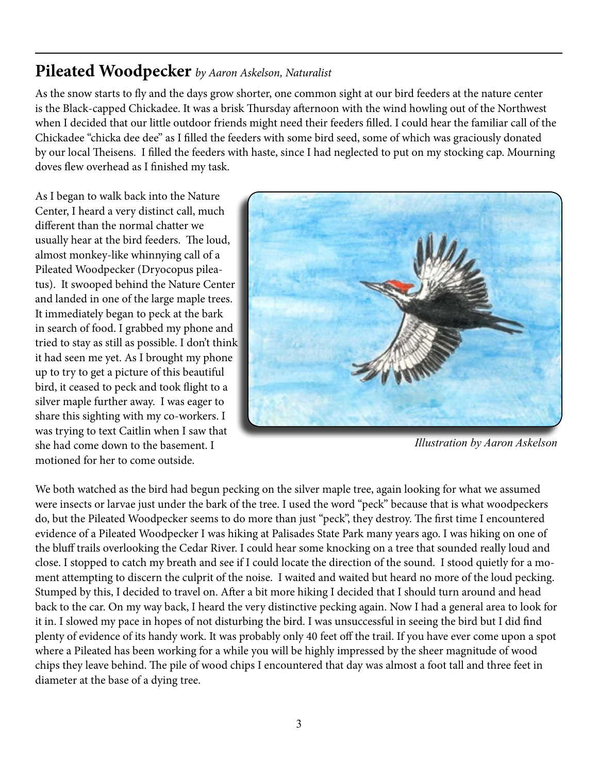# **Pileated Woodpecker** *by Aaron Askelson, Naturalist*

As the snow starts to fly and the days grow shorter, one common sight at our bird feeders at the nature center is the Black-capped Chickadee. It was a brisk Thursday afternoon with the wind howling out of the Northwest when I decided that our little outdoor friends might need their feeders filled. I could hear the familiar call of the Chickadee "chicka dee dee" as I filled the feeders with some bird seed, some of which was graciously donated by our local Theisens. I filled the feeders with haste, since I had neglected to put on my stocking cap. Mourning doves flew overhead as I finished my task.

As I began to walk back into the Nature Center, I heard a very distinct call, much different than the normal chatter we usually hear at the bird feeders. The loud, almost monkey-like whinnying call of a Pileated Woodpecker (Dryocopus pileatus). It swooped behind the Nature Center and landed in one of the large maple trees. It immediately began to peck at the bark in search of food. I grabbed my phone and tried to stay as still as possible. I don't think it had seen me yet. As I brought my phone up to try to get a picture of this beautiful bird, it ceased to peck and took flight to a silver maple further away. I was eager to share this sighting with my co-workers. I was trying to text Caitlin when I saw that she had come down to the basement. I motioned for her to come outside.



*Illustration by Aaron Askelson*

We both watched as the bird had begun pecking on the silver maple tree, again looking for what we assumed were insects or larvae just under the bark of the tree. I used the word "peck" because that is what woodpeckers do, but the Pileated Woodpecker seems to do more than just "peck", they destroy. The first time I encountered evidence of a Pileated Woodpecker I was hiking at Palisades State Park many years ago. I was hiking on one of the bluff trails overlooking the Cedar River. I could hear some knocking on a tree that sounded really loud and close. I stopped to catch my breath and see if I could locate the direction of the sound. I stood quietly for a moment attempting to discern the culprit of the noise. I waited and waited but heard no more of the loud pecking. Stumped by this, I decided to travel on. After a bit more hiking I decided that I should turn around and head back to the car. On my way back, I heard the very distinctive pecking again. Now I had a general area to look for it in. I slowed my pace in hopes of not disturbing the bird. I was unsuccessful in seeing the bird but I did find plenty of evidence of its handy work. It was probably only 40 feet off the trail. If you have ever come upon a spot where a Pileated has been working for a while you will be highly impressed by the sheer magnitude of wood chips they leave behind. The pile of wood chips I encountered that day was almost a foot tall and three feet in diameter at the base of a dying tree.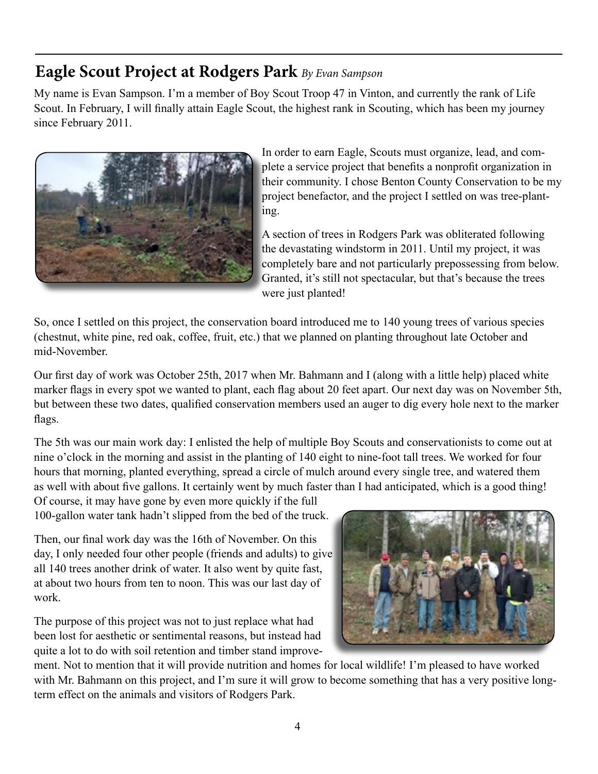# **Eagle Scout Project at Rodgers Park** *By Evan Sampson*

My name is Evan Sampson. I'm a member of Boy Scout Troop 47 in Vinton, and currently the rank of Life Scout. In February, I will finally attain Eagle Scout, the highest rank in Scouting, which has been my journey since February 2011.



In order to earn Eagle, Scouts must organize, lead, and complete a service project that benefits a nonprofit organization in their community. I chose Benton County Conservation to be my project benefactor, and the project I settled on was tree-planting.

A section of trees in Rodgers Park was obliterated following the devastating windstorm in 2011. Until my project, it was completely bare and not particularly prepossessing from below. Granted, it's still not spectacular, but that's because the trees were just planted!

So, once I settled on this project, the conservation board introduced me to 140 young trees of various species (chestnut, white pine, red oak, coffee, fruit, etc.) that we planned on planting throughout late October and mid-November.

Our first day of work was October 25th, 2017 when Mr. Bahmann and I (along with a little help) placed white marker flags in every spot we wanted to plant, each flag about 20 feet apart. Our next day was on November 5th, but between these two dates, qualified conservation members used an auger to dig every hole next to the marker flags.

The 5th was our main work day: I enlisted the help of multiple Boy Scouts and conservationists to come out at nine o'clock in the morning and assist in the planting of 140 eight to nine-foot tall trees. We worked for four hours that morning, planted everything, spread a circle of mulch around every single tree, and watered them as well with about five gallons. It certainly went by much faster than I had anticipated, which is a good thing!

Of course, it may have gone by even more quickly if the full 100-gallon water tank hadn't slipped from the bed of the truck.

Then, our final work day was the 16th of November. On this day, I only needed four other people (friends and adults) to give all 140 trees another drink of water. It also went by quite fast, at about two hours from ten to noon. This was our last day of work.

The purpose of this project was not to just replace what had been lost for aesthetic or sentimental reasons, but instead had quite a lot to do with soil retention and timber stand improve-



ment. Not to mention that it will provide nutrition and homes for local wildlife! I'm pleased to have worked with Mr. Bahmann on this project, and I'm sure it will grow to become something that has a very positive longterm effect on the animals and visitors of Rodgers Park.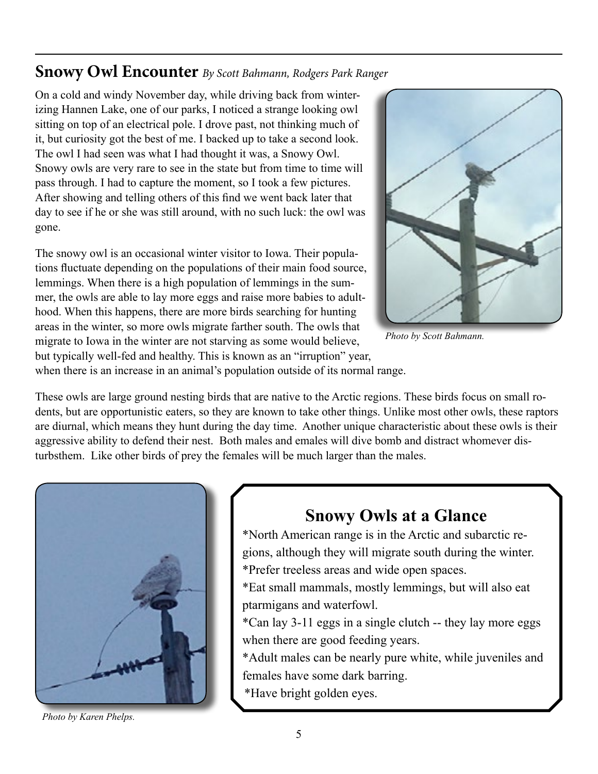### **Snowy Owl Encounter** *By Scott Bahmann, Rodgers Park Ranger*

On a cold and windy November day, while driving back from winterizing Hannen Lake, one of our parks, I noticed a strange looking owl sitting on top of an electrical pole. I drove past, not thinking much of it, but curiosity got the best of me. I backed up to take a second look. The owl I had seen was what I had thought it was, a Snowy Owl. Snowy owls are very rare to see in the state but from time to time will pass through. I had to capture the moment, so I took a few pictures. After showing and telling others of this find we went back later that day to see if he or she was still around, with no such luck: the owl was gone.

The snowy owl is an occasional winter visitor to Iowa. Their populations fluctuate depending on the populations of their main food source, lemmings. When there is a high population of lemmings in the summer, the owls are able to lay more eggs and raise more babies to adulthood. When this happens, there are more birds searching for hunting areas in the winter, so more owls migrate farther south. The owls that migrate to Iowa in the winter are not starving as some would believe, but typically well-fed and healthy. This is known as an "irruption" year,



*Photo by Scott Bahmann.*

when there is an increase in an animal's population outside of its normal range.

These owls are large ground nesting birds that are native to the Arctic regions. These birds focus on small rodents, but are opportunistic eaters, so they are known to take other things. Unlike most other owls, these raptors are diurnal, which means they hunt during the day time. Another unique characteristic about these owls is their aggressive ability to defend their nest. Both males and emales will dive bomb and distract whomever disturbsthem. Like other birds of prey the females will be much larger than the males.



**Snowy Owls at a Glance**

\*North American range is in the Arctic and subarctic regions, although they will migrate south during the winter.

\*Prefer treeless areas and wide open spaces.

\*Eat small mammals, mostly lemmings, but will also eat ptarmigans and waterfowl.

\*Can lay 3-11 eggs in a single clutch -- they lay more eggs when there are good feeding years.

\*Adult males can be nearly pure white, while juveniles and females have some dark barring.

\*Have bright golden eyes.

*Photo by Karen Phelps.*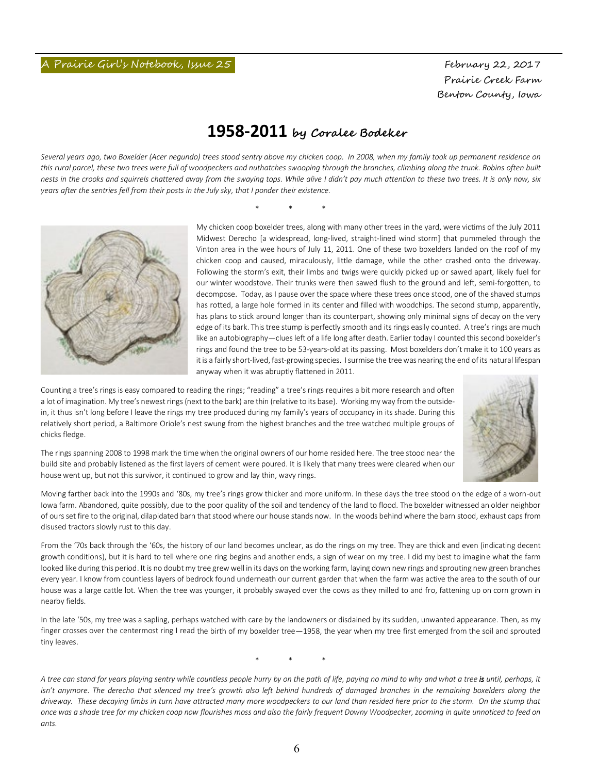Prairie Creek Farm Benton County, Iowa

### **1958-2011 by Coralee Bodeker**

*Several years ago, two Boxelder (Acer negundo) trees stood sentry above my chicken coop. In 2008, when my family took up permanent residence on this rural parcel, these two trees were full of woodpeckers and nuthatches swooping through the branches, climbing along the trunk. Robins often built nests in the crooks and squirrels chattered away from the swaying tops. While alive I didn't pay much attention to these two trees. It is only now, six years after the sentries fell from their posts in the July sky, that I ponder their existence.* 

\* \* \*



My chicken coop boxelder trees, along with many other trees in the yard, were victims of the July 2011 Midwest Derecho [a widespread, long-lived, straight-lined wind storm] that pummeled through the Vinton area in the wee hours of July 11, 2011. One of these two boxelders landed on the roof of my chicken coop and caused, miraculously, little damage, while the other crashed onto the driveway. Following the storm's exit, their limbs and twigs were quickly picked up or sawed apart, likely fuel for our winter woodstove. Their trunks were then sawed flush to the ground and left, semi-forgotten, to decompose. Today, as I pause over the space where these trees once stood, one of the shaved stumps has rotted, a large hole formed in its center and filled with woodchips. The second stump, apparently, has plans to stick around longer than its counterpart, showing only minimal signs of decay on the very edge of its bark. This tree stump is perfectly smooth and its rings easily counted. A tree's rings are much like an autobiography—clues left of a life long after death. Earlier today I counted this second boxelder's rings and found the tree to be 53-years-old at its passing. Most boxelders don't make it to 100 years as it is a fairly short-lived, fast-growing species. I surmise the tree was nearing the end of its natural lifespan anyway when it was abruptly flattened in 2011.

Counting a tree's rings is easy compared to reading the rings; "reading" a tree's rings requires a bit more research and often a lot of imagination. My tree's newest rings (next to the bark) are thin (relative to its base). Working my way from the outsidein, it thus isn't long before I leave the rings my tree produced during my family's years of occupancy in its shade. During this relatively short period, a Baltimore Oriole's nest swung from the highest branches and the tree watched multiple groups of chicks fledge.



The rings spanning 2008 to 1998 mark the time when the original owners of our home resided here. The tree stood near the build site and probably listened as the first layers of cement were poured. It is likely that many trees were cleared when our house went up, but not this survivor, it continued to grow and lay thin, wavy rings.

Moving farther back into the 1990s and '80s, my tree's rings grow thicker and more uniform. In these days the tree stood on the edge of a worn-out Iowa farm. Abandoned, quite possibly, due to the poor quality of the soil and tendency of the land to flood. The boxelder witnessed an older neighbor of ours set fire to the original, dilapidated barn that stood where our house stands now. In the woods behind where the barn stood, exhaust caps from disused tractors slowly rust to this day.

From the '70s back through the '60s, the history of our land becomes unclear, as do the rings on my tree. They are thick and even (indicating decent growth conditions), but it is hard to tell where one ring begins and another ends, a sign of wear on my tree. I did my best to imagine what the farm looked like during this period. It is no doubt my tree grew well in its days on the working farm, laying down new rings and sprouting new green branches every year. I know from countless layers of bedrock found underneath our current garden that when the farm was active the area to the south of our house was a large cattle lot. When the tree was younger, it probably swayed over the cows as they milled to and fro, fattening up on corn grown in nearby fields.

In the late '50s, my tree was a sapling, perhaps watched with care by the landowners or disdained by its sudden, unwanted appearance. Then, as my finger crosses over the centermost ring I read the birth of my boxelder tree—1958, the year when my tree first emerged from the soil and sprouted tiny leaves.

\* \* \*

*A tree can stand for years playing sentry while countless people hurry by on the path of life, paying no mind to why and what a tree is until, perhaps, it*  isn't anymore. The derecho that silenced my tree's growth also left behind hundreds of damaged branches in the remaining boxelders along the *driveway. These decaying limbs in turn have attracted many more woodpeckers to our land than resided here prior to the storm. On the stump that once was a shade tree for my chicken coop now flourishes moss and also the fairly frequent Downy Woodpecker, zooming in quite unnoticed to feed on ants.*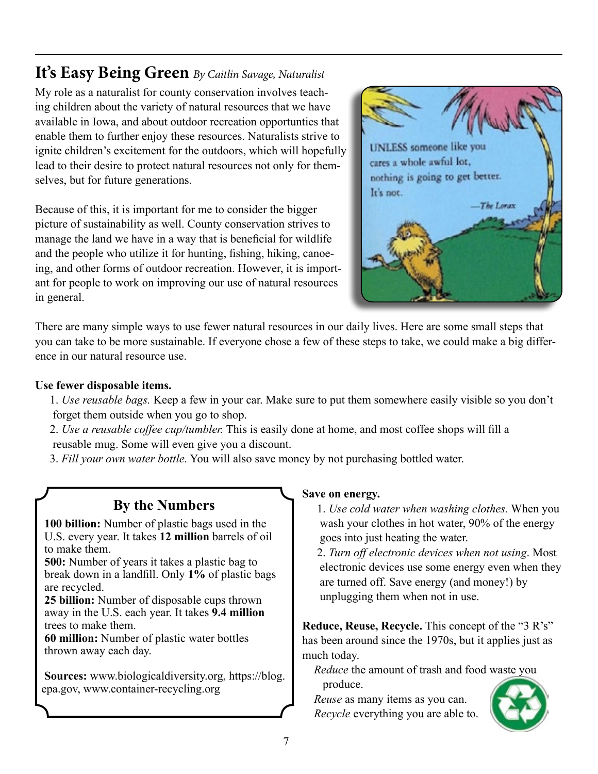# **It's Easy Being Green** *By Caitlin Savage, Naturalist*

My role as a naturalist for county conservation involves teaching children about the variety of natural resources that we have available in Iowa, and about outdoor recreation opportunties that enable them to further enjoy these resources. Naturalists strive to ignite children's excitement for the outdoors, which will hopefully lead to their desire to protect natural resources not only for themselves, but for future generations.

Because of this, it is important for me to consider the bigger picture of sustainability as well. County conservation strives to manage the land we have in a way that is beneficial for wildlife and the people who utilize it for hunting, fishing, hiking, canoeing, and other forms of outdoor recreation. However, it is important for people to work on improving our use of natural resources in general.



There are many simple ways to use fewer natural resources in our daily lives. Here are some small steps that you can take to be more sustainable. If everyone chose a few of these steps to take, we could make a big difference in our natural resource use.

#### **Use fewer disposable items.**

- 1. *Use reusable bags.* Keep a few in your car. Make sure to put them somewhere easily visible so you don't forget them outside when you go to shop.
- 2. *Use a reusable coffee cup/tumbler.* This is easily done at home, and most coffee shops will fill a reusable mug. Some will even give you a discount.

3. *Fill your own water bottle.* You will also save money by not purchasing bottled water.

### **By the Numbers**

 **100 billion:** Number of plastic bags used in the U.S. every year. It takes **12 million** barrels of oil to make them.

 **500:** Number of years it takes a plastic bag to break down in a landfill. Only **1%** of plastic bags are recycled.

 **25 billion:** Number of disposable cups thrown away in the U.S. each year. It takes **9.4 million**  trees to make them.

 **60 million:** Number of plastic water bottles thrown away each day.

 **Sources:** www.biologicaldiversity.org, https://blog. epa.gov, www.container-recycling.org

#### **Save on energy.**

 1. *Use cold water when washing clothes.* When you wash your clothes in hot water, 90% of the energy goes into just heating the water.

 2. *Turn off electronic devices when not using*. Most electronic devices use some energy even when they are turned off. Save energy (and money!) by unplugging them when not in use.

**Reduce, Reuse, Recycle.** This concept of the "3 R's" has been around since the 1970s, but it applies just as much today.

 *Reduce* the amount of trash and food waste you produce.

 *Reuse* as many items as you can. *Recycle* everything you are able to.

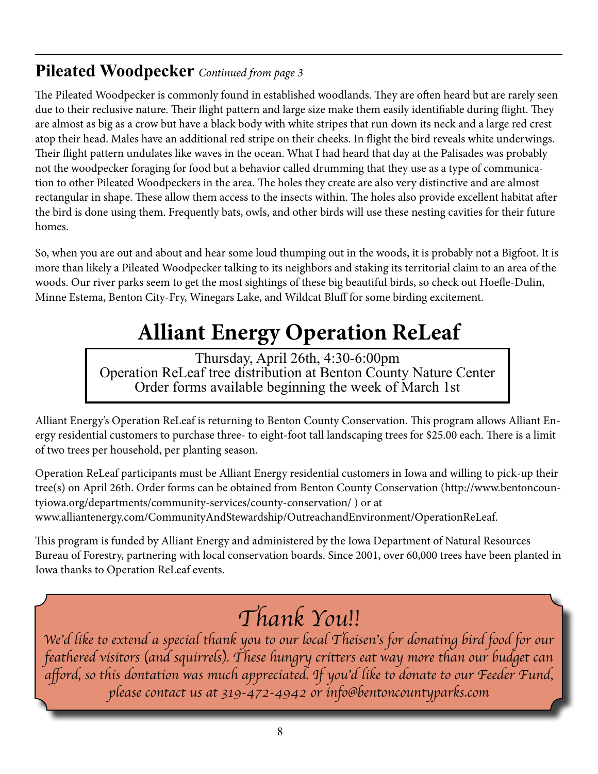# **Pileated Woodpecker** *Continued from page 3*

The Pileated Woodpecker is commonly found in established woodlands. They are often heard but are rarely seen due to their reclusive nature. Their flight pattern and large size make them easily identifiable during flight. They are almost as big as a crow but have a black body with white stripes that run down its neck and a large red crest atop their head. Males have an additional red stripe on their cheeks. In flight the bird reveals white underwings. Their flight pattern undulates like waves in the ocean. What I had heard that day at the Palisades was probably not the woodpecker foraging for food but a behavior called drumming that they use as a type of communication to other Pileated Woodpeckers in the area. The holes they create are also very distinctive and are almost rectangular in shape. These allow them access to the insects within. The holes also provide excellent habitat after the bird is done using them. Frequently bats, owls, and other birds will use these nesting cavities for their future homes.

So, when you are out and about and hear some loud thumping out in the woods, it is probably not a Bigfoot. It is more than likely a Pileated Woodpecker talking to its neighbors and staking its territorial claim to an area of the woods. Our river parks seem to get the most sightings of these big beautiful birds, so check out Hoefle-Dulin, Minne Estema, Benton City-Fry, Winegars Lake, and Wildcat Bluff for some birding excitement.

# **Alliant Energy Operation ReLeaf**

Thursday, April 26th, 4:30-6:00pm Operation ReLeaf tree distribution at Benton County Nature Center Order forms available beginning the week of March 1st

Alliant Energy's Operation ReLeaf is returning to Benton County Conservation. This program allows Alliant Energy residential customers to purchase three- to eight-foot tall landscaping trees for \$25.00 each. There is a limit of two trees per household, per planting season.

Operation ReLeaf participants must be Alliant Energy residential customers in Iowa and willing to pick-up their tree(s) on April 26th. Order forms can be obtained from Benton County Conservation (http://www.bentoncountyiowa.org/departments/community-services/county-conservation/ ) or at www.alliantenergy.com/CommunityAndStewardship/OutreachandEnvironment/OperationReLeaf.

This program is funded by Alliant Energy and administered by the Iowa Department of Natural Resources Bureau of Forestry, partnering with local conservation boards. Since 2001, over 60,000 trees have been planted in Iowa thanks to Operation ReLeaf events.

# *Thank You!!*

*We'd like to extend a special thank you to our local Theisen's for donating bird food for our feathered visitors (and squirrels). These hungry critters eat way more than our budget can*  afford, so this dontation was much appreciated. If you'd like to donate to our Feeder Fund, *please contact us at 319-472-4942 or info@bentoncountyparks.com*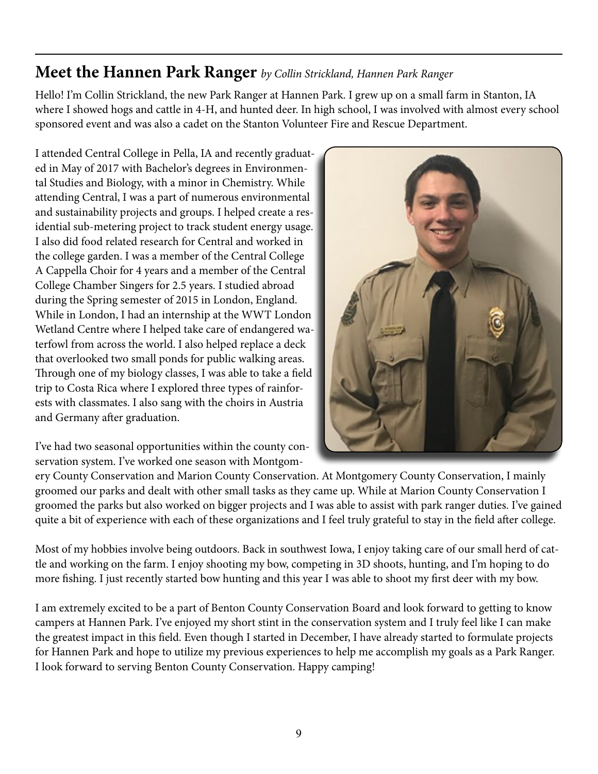# **Meet the Hannen Park Ranger** *by Collin Strickland, Hannen Park Ranger*

Hello! I'm Collin Strickland, the new Park Ranger at Hannen Park. I grew up on a small farm in Stanton, IA where I showed hogs and cattle in 4-H, and hunted deer. In high school, I was involved with almost every school sponsored event and was also a cadet on the Stanton Volunteer Fire and Rescue Department.

I attended Central College in Pella, IA and recently graduated in May of 2017 with Bachelor's degrees in Environmental Studies and Biology, with a minor in Chemistry. While attending Central, I was a part of numerous environmental and sustainability projects and groups. I helped create a residential sub-metering project to track student energy usage. I also did food related research for Central and worked in the college garden. I was a member of the Central College A Cappella Choir for 4 years and a member of the Central College Chamber Singers for 2.5 years. I studied abroad during the Spring semester of 2015 in London, England. While in London, I had an internship at the WWT London Wetland Centre where I helped take care of endangered waterfowl from across the world. I also helped replace a deck that overlooked two small ponds for public walking areas. Through one of my biology classes, I was able to take a field trip to Costa Rica where I explored three types of rainforests with classmates. I also sang with the choirs in Austria and Germany after graduation.

I've had two seasonal opportunities within the county conservation system. I've worked one season with Montgom-



ery County Conservation and Marion County Conservation. At Montgomery County Conservation, I mainly groomed our parks and dealt with other small tasks as they came up. While at Marion County Conservation I groomed the parks but also worked on bigger projects and I was able to assist with park ranger duties. I've gained quite a bit of experience with each of these organizations and I feel truly grateful to stay in the field after college.

Most of my hobbies involve being outdoors. Back in southwest Iowa, I enjoy taking care of our small herd of cattle and working on the farm. I enjoy shooting my bow, competing in 3D shoots, hunting, and I'm hoping to do more fishing. I just recently started bow hunting and this year I was able to shoot my first deer with my bow.

I am extremely excited to be a part of Benton County Conservation Board and look forward to getting to know campers at Hannen Park. I've enjoyed my short stint in the conservation system and I truly feel like I can make the greatest impact in this field. Even though I started in December, I have already started to formulate projects for Hannen Park and hope to utilize my previous experiences to help me accomplish my goals as a Park Ranger. I look forward to serving Benton County Conservation. Happy camping!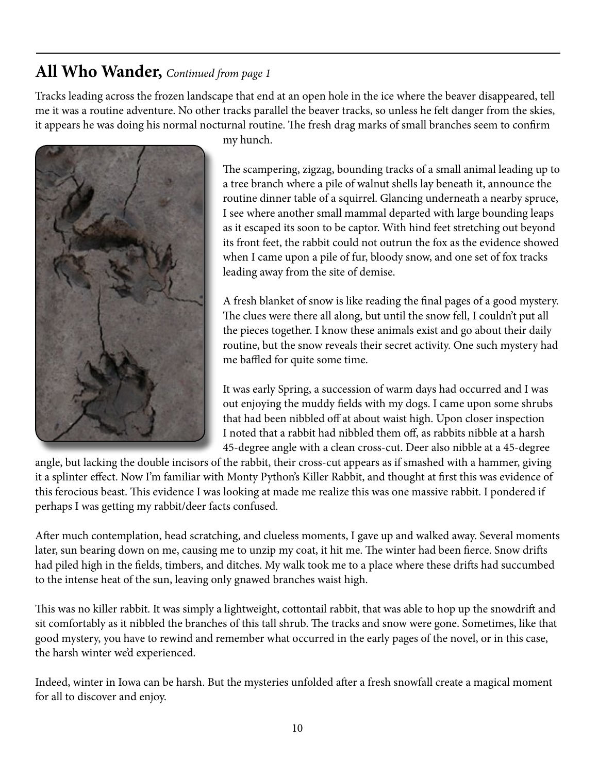# **All Who Wander,** *Continued from page 1*

Tracks leading across the frozen landscape that end at an open hole in the ice where the beaver disappeared, tell me it was a routine adventure. No other tracks parallel the beaver tracks, so unless he felt danger from the skies, it appears he was doing his normal nocturnal routine. The fresh drag marks of small branches seem to confirm



my hunch.

The scampering, zigzag, bounding tracks of a small animal leading up to a tree branch where a pile of walnut shells lay beneath it, announce the routine dinner table of a squirrel. Glancing underneath a nearby spruce, I see where another small mammal departed with large bounding leaps as it escaped its soon to be captor. With hind feet stretching out beyond its front feet, the rabbit could not outrun the fox as the evidence showed when I came upon a pile of fur, bloody snow, and one set of fox tracks leading away from the site of demise.

A fresh blanket of snow is like reading the final pages of a good mystery. The clues were there all along, but until the snow fell, I couldn't put all the pieces together. I know these animals exist and go about their daily routine, but the snow reveals their secret activity. One such mystery had me baffled for quite some time.

It was early Spring, a succession of warm days had occurred and I was out enjoying the muddy fields with my dogs. I came upon some shrubs that had been nibbled off at about waist high. Upon closer inspection I noted that a rabbit had nibbled them off, as rabbits nibble at a harsh 45-degree angle with a clean cross-cut. Deer also nibble at a 45-degree

angle, but lacking the double incisors of the rabbit, their cross-cut appears as if smashed with a hammer, giving it a splinter effect. Now I'm familiar with Monty Python's Killer Rabbit, and thought at first this was evidence of this ferocious beast. This evidence I was looking at made me realize this was one massive rabbit. I pondered if perhaps I was getting my rabbit/deer facts confused.

After much contemplation, head scratching, and clueless moments, I gave up and walked away. Several moments later, sun bearing down on me, causing me to unzip my coat, it hit me. The winter had been fierce. Snow drifts had piled high in the fields, timbers, and ditches. My walk took me to a place where these drifts had succumbed to the intense heat of the sun, leaving only gnawed branches waist high.

This was no killer rabbit. It was simply a lightweight, cottontail rabbit, that was able to hop up the snowdrift and sit comfortably as it nibbled the branches of this tall shrub. The tracks and snow were gone. Sometimes, like that good mystery, you have to rewind and remember what occurred in the early pages of the novel, or in this case, the harsh winter we'd experienced.

Indeed, winter in Iowa can be harsh. But the mysteries unfolded after a fresh snowfall create a magical moment for all to discover and enjoy.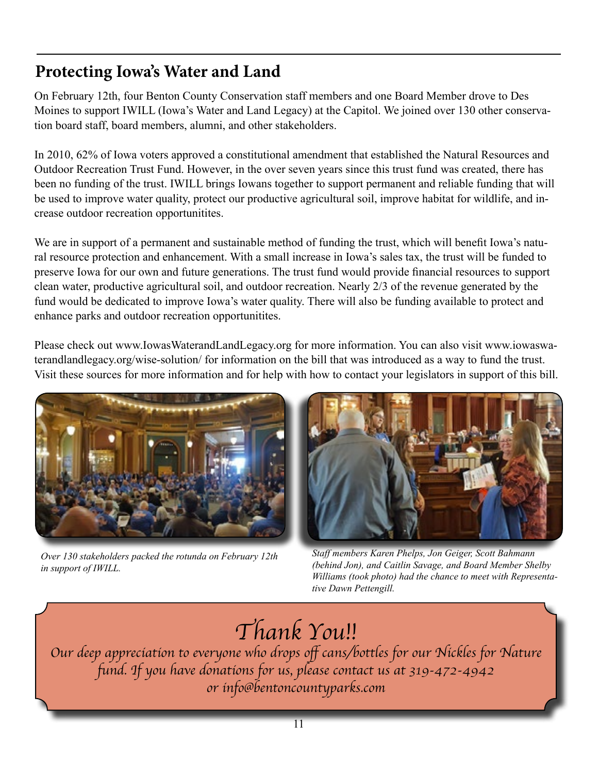# **Protecting Iowa's Water and Land**

On February 12th, four Benton County Conservation staff members and one Board Member drove to Des Moines to support IWILL (Iowa's Water and Land Legacy) at the Capitol. We joined over 130 other conservation board staff, board members, alumni, and other stakeholders.

In 2010, 62% of Iowa voters approved a constitutional amendment that established the Natural Resources and Outdoor Recreation Trust Fund. However, in the over seven years since this trust fund was created, there has been no funding of the trust. IWILL brings Iowans together to support permanent and reliable funding that will be used to improve water quality, protect our productive agricultural soil, improve habitat for wildlife, and increase outdoor recreation opportunitites.

We are in support of a permanent and sustainable method of funding the trust, which will benefit Iowa's natural resource protection and enhancement. With a small increase in Iowa's sales tax, the trust will be funded to preserve Iowa for our own and future generations. The trust fund would provide financial resources to support clean water, productive agricultural soil, and outdoor recreation. Nearly 2/3 of the revenue generated by the fund would be dedicated to improve Iowa's water quality. There will also be funding available to protect and enhance parks and outdoor recreation opportunitites.

Please check out www.IowasWaterandLandLegacy.org for more information. You can also visit www.iowaswaterandlandlegacy.org/wise-solution/ for information on the bill that was introduced as a way to fund the trust. Visit these sources for more information and for help with how to contact your legislators in support of this bill.



*Over 130 stakeholders packed the rotunda on February 12th in support of IWILL.*



*Staff members Karen Phelps, Jon Geiger, Scott Bahmann (behind Jon), and Caitlin Savage, and Board Member Shelby Williams (took photo) had the chance to meet with Representative Dawn Pettengill.*

# *Thank You!!*

Our deep appreciation to everyone who drops off cans/bottles for our Nickles for Nature fund. If you have donations for us, please contact us at 319-472-4942 *or info@bentoncountyparks.com*